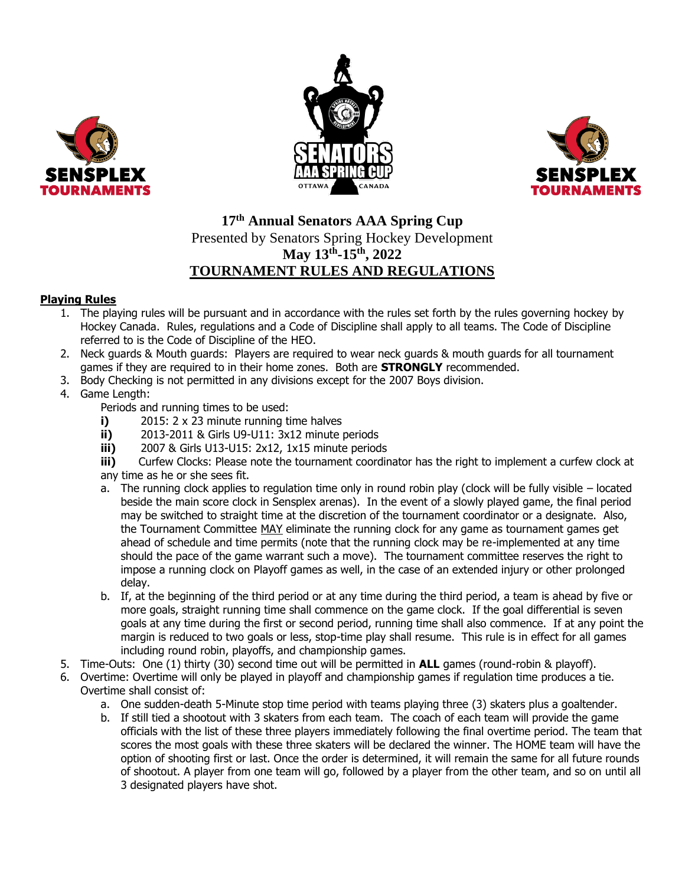





## **17 th Annual Senators AAA Spring Cup** Presented by Senators Spring Hockey Development **May 13th -15th, 2022 TOURNAMENT RULES AND REGULATIONS**

## **Playing Rules**

- 1. The playing rules will be pursuant and in accordance with the rules set forth by the rules governing hockey by Hockey Canada. Rules, regulations and a Code of Discipline shall apply to all teams. The Code of Discipline referred to is the Code of Discipline of the HEO.
- 2. Neck guards & Mouth guards: Players are required to wear neck guards & mouth guards for all tournament games if they are required to in their home zones. Both are **STRONGLY** recommended.
- 3. Body Checking is not permitted in any divisions except for the 2007 Boys division.
- 4. Game Length:
	- Periods and running times to be used:
	- **i)** 2015: 2 x 23 minute running time halves
	- **ii)** 2013-2011 & Girls U9-U11: 3x12 minute periods
	- **iii)** 2007 & Girls U13-U15: 2x12, 1x15 minute periods

**iii)** Curfew Clocks: Please note the tournament coordinator has the right to implement a curfew clock at any time as he or she sees fit.

- a. The running clock applies to regulation time only in round robin play (clock will be fully visible located beside the main score clock in Sensplex arenas). In the event of a slowly played game, the final period may be switched to straight time at the discretion of the tournament coordinator or a designate. Also, the Tournament Committee MAY eliminate the running clock for any game as tournament games get ahead of schedule and time permits (note that the running clock may be re-implemented at any time should the pace of the game warrant such a move). The tournament committee reserves the right to impose a running clock on Playoff games as well, in the case of an extended injury or other prolonged delay.
- b. If, at the beginning of the third period or at any time during the third period, a team is ahead by five or more goals, straight running time shall commence on the game clock. If the goal differential is seven goals at any time during the first or second period, running time shall also commence. If at any point the margin is reduced to two goals or less, stop-time play shall resume. This rule is in effect for all games including round robin, playoffs, and championship games.
- 5. Time-Outs: One (1) thirty (30) second time out will be permitted in **ALL** games (round-robin & playoff).
- 6. Overtime: Overtime will only be played in playoff and championship games if regulation time produces a tie. Overtime shall consist of:
	- a. One sudden-death 5-Minute stop time period with teams playing three (3) skaters plus a goaltender.
	- b. If still tied a shootout with 3 skaters from each team. The coach of each team will provide the game officials with the list of these three players immediately following the final overtime period. The team that scores the most goals with these three skaters will be declared the winner. The HOME team will have the option of shooting first or last. Once the order is determined, it will remain the same for all future rounds of shootout. A player from one team will go, followed by a player from the other team, and so on until all 3 designated players have shot.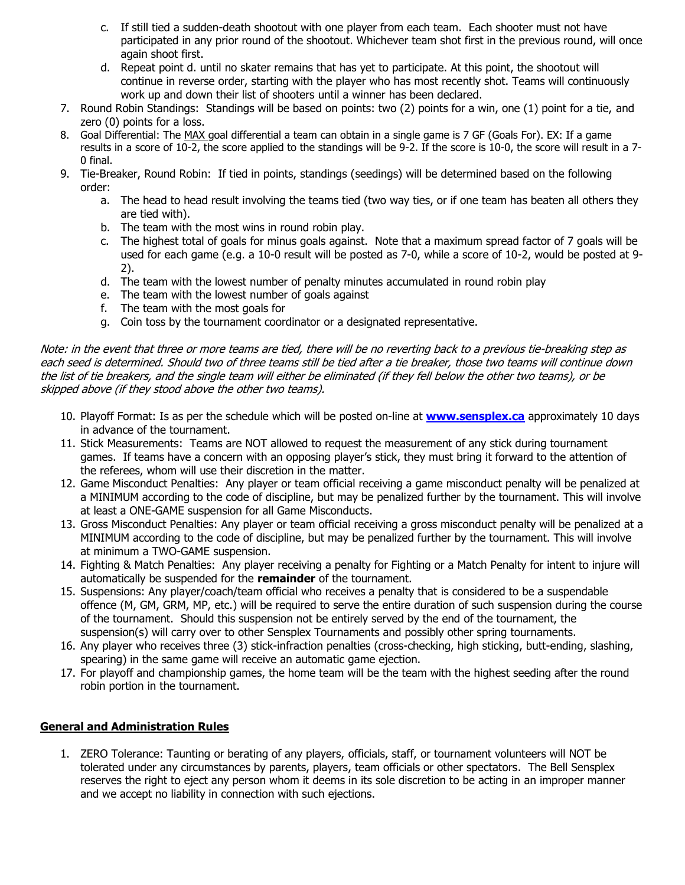- c. If still tied a sudden-death shootout with one player from each team. Each shooter must not have participated in any prior round of the shootout. Whichever team shot first in the previous round, will once again shoot first.
- d. Repeat point d. until no skater remains that has yet to participate. At this point, the shootout will continue in reverse order, starting with the player who has most recently shot. Teams will continuously work up and down their list of shooters until a winner has been declared.
- 7. Round Robin Standings: Standings will be based on points: two (2) points for a win, one (1) point for a tie, and zero (0) points for a loss.
- 8. Goal Differential: The MAX goal differential a team can obtain in a single game is 7 GF (Goals For). EX: If a game results in a score of 10-2, the score applied to the standings will be 9-2. If the score is 10-0, the score will result in a 7- 0 final.
- 9. Tie-Breaker, Round Robin: If tied in points, standings (seedings) will be determined based on the following order:
	- a. The head to head result involving the teams tied (two way ties, or if one team has beaten all others they are tied with).
	- b. The team with the most wins in round robin play.
	- c. The highest total of goals for minus goals against. Note that a maximum spread factor of 7 goals will be used for each game (e.g. a 10-0 result will be posted as 7-0, while a score of 10-2, would be posted at 9- 2).
	- d. The team with the lowest number of penalty minutes accumulated in round robin play
	- e. The team with the lowest number of goals against
	- f. The team with the most goals for
	- g. Coin toss by the tournament coordinator or a designated representative.

Note: in the event that three or more teams are tied, there will be no reverting back to a previous tie-breaking step as each seed is determined. Should two of three teams still be tied after a tie breaker, those two teams will continue down the list of tie breakers, and the single team will either be eliminated (if they fell below the other two teams), or be skipped above (if they stood above the other two teams).

- 10. Playoff Format: Is as per the schedule which will be posted on-line at **[www.sensplex.ca](http://www.sensplex.ca/)** approximately 10 days in advance of the tournament.
- 11. Stick Measurements: Teams are NOT allowed to request the measurement of any stick during tournament games. If teams have a concern with an opposing player's stick, they must bring it forward to the attention of the referees, whom will use their discretion in the matter.
- 12. Game Misconduct Penalties: Any player or team official receiving a game misconduct penalty will be penalized at a MINIMUM according to the code of discipline, but may be penalized further by the tournament. This will involve at least a ONE-GAME suspension for all Game Misconducts.
- 13. Gross Misconduct Penalties: Any player or team official receiving a gross misconduct penalty will be penalized at a MINIMUM according to the code of discipline, but may be penalized further by the tournament. This will involve at minimum a TWO-GAME suspension.
- 14. Fighting & Match Penalties: Any player receiving a penalty for Fighting or a Match Penalty for intent to injure will automatically be suspended for the **remainder** of the tournament.
- 15. Suspensions: Any player/coach/team official who receives a penalty that is considered to be a suspendable offence (M, GM, GRM, MP, etc.) will be required to serve the entire duration of such suspension during the course of the tournament. Should this suspension not be entirely served by the end of the tournament, the suspension(s) will carry over to other Sensplex Tournaments and possibly other spring tournaments.
- 16. Any player who receives three (3) stick-infraction penalties (cross-checking, high sticking, butt-ending, slashing, spearing) in the same game will receive an automatic game ejection.
- 17. For playoff and championship games, the home team will be the team with the highest seeding after the round robin portion in the tournament.

## **General and Administration Rules**

1. ZERO Tolerance: Taunting or berating of any players, officials, staff, or tournament volunteers will NOT be tolerated under any circumstances by parents, players, team officials or other spectators. The Bell Sensplex reserves the right to eject any person whom it deems in its sole discretion to be acting in an improper manner and we accept no liability in connection with such ejections.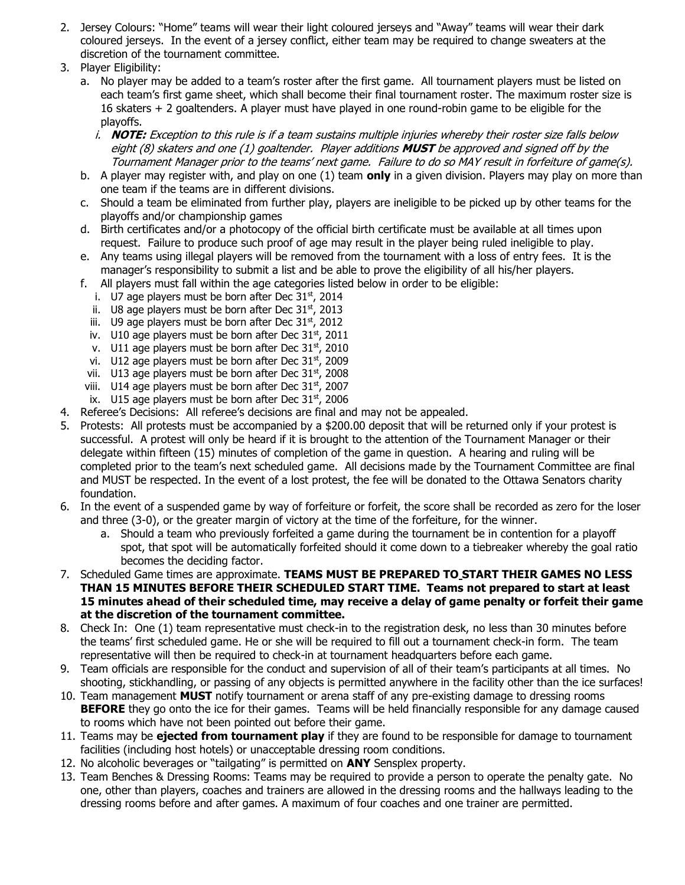- 2. Jersey Colours: "Home" teams will wear their light coloured jerseys and "Away" teams will wear their dark coloured jerseys. In the event of a jersey conflict, either team may be required to change sweaters at the discretion of the tournament committee.
- 3. Player Eligibility:
	- a. No player may be added to a team's roster after the first game. All tournament players must be listed on each team's first game sheet, which shall become their final tournament roster. The maximum roster size is 16 skaters + 2 goaltenders. A player must have played in one round-robin game to be eligible for the playoffs.
		- i. **NOTE:** Exception to this rule is if a team sustains multiple injuries whereby their roster size falls below eight (8) skaters and one (1) goaltender. Player additions **MUST** be approved and signed off by the Tournament Manager prior to the teams' next game. Failure to do so MAY result in forfeiture of game(s).
	- b. A player may register with, and play on one (1) team **only** in a given division. Players may play on more than one team if the teams are in different divisions.
	- c. Should a team be eliminated from further play, players are ineligible to be picked up by other teams for the playoffs and/or championship games
	- d. Birth certificates and/or a photocopy of the official birth certificate must be available at all times upon request. Failure to produce such proof of age may result in the player being ruled ineligible to play.
	- e. Any teams using illegal players will be removed from the tournament with a loss of entry fees. It is the manager's responsibility to submit a list and be able to prove the eligibility of all his/her players.
	- f. All players must fall within the age categories listed below in order to be eligible:
		- i. U7 age players must be born after Dec  $31<sup>st</sup>$ , 2014
		- ii. U8 age players must be born after Dec  $31<sup>st</sup>$ , 2013
		- iii. U9 age players must be born after Dec  $31<sup>st</sup>$ , 2012
		- iv. U10 age players must be born after Dec  $31<sup>st</sup>$ , 2011
		- v. U11 age players must be born after Dec 31<sup>st</sup>, 2010
		- vi. U12 age players must be born after Dec  $31<sup>st</sup>$ , 2009
	- vii. U13 age players must be born after Dec  $31<sup>st</sup>$ , 2008
	- viii. U14 age players must be born after Dec  $31<sup>st</sup>$ , 2007 ix. U15 age players must be born after Dec  $31<sup>st</sup>$ , 2006
- 4. Referee's Decisions: All referee's decisions are final and may not be appealed.
- 5. Protests: All protests must be accompanied by a \$200.00 deposit that will be returned only if your protest is successful. A protest will only be heard if it is brought to the attention of the Tournament Manager or their delegate within fifteen (15) minutes of completion of the game in question. A hearing and ruling will be completed prior to the team's next scheduled game. All decisions made by the Tournament Committee are final and MUST be respected. In the event of a lost protest, the fee will be donated to the Ottawa Senators charity foundation.
- 6. In the event of a suspended game by way of forfeiture or forfeit, the score shall be recorded as zero for the loser and three (3-0), or the greater margin of victory at the time of the forfeiture, for the winner.
	- a. Should a team who previously forfeited a game during the tournament be in contention for a playoff spot, that spot will be automatically forfeited should it come down to a tiebreaker whereby the goal ratio becomes the deciding factor.
- 7. Scheduled Game times are approximate. **TEAMS MUST BE PREPARED TO START THEIR GAMES NO LESS THAN 15 MINUTES BEFORE THEIR SCHEDULED START TIME. Teams not prepared to start at least 15 minutes ahead of their scheduled time, may receive a delay of game penalty or forfeit their game at the discretion of the tournament committee.**
- 8. Check In: One (1) team representative must check-in to the registration desk, no less than 30 minutes before the teams' first scheduled game. He or she will be required to fill out a tournament check-in form. The team representative will then be required to check-in at tournament headquarters before each game.
- 9. Team officials are responsible for the conduct and supervision of all of their team's participants at all times. No shooting, stickhandling, or passing of any objects is permitted anywhere in the facility other than the ice surfaces!
- 10. Team management **MUST** notify tournament or arena staff of any pre-existing damage to dressing rooms **BEFORE** they go onto the ice for their games. Teams will be held financially responsible for any damage caused to rooms which have not been pointed out before their game.
- 11. Teams may be **ejected from tournament play** if they are found to be responsible for damage to tournament facilities (including host hotels) or unacceptable dressing room conditions.
- 12. No alcoholic beverages or "tailgating" is permitted on **ANY** Sensplex property.
- 13. Team Benches & Dressing Rooms: Teams may be required to provide a person to operate the penalty gate. No one, other than players, coaches and trainers are allowed in the dressing rooms and the hallways leading to the dressing rooms before and after games. A maximum of four coaches and one trainer are permitted.